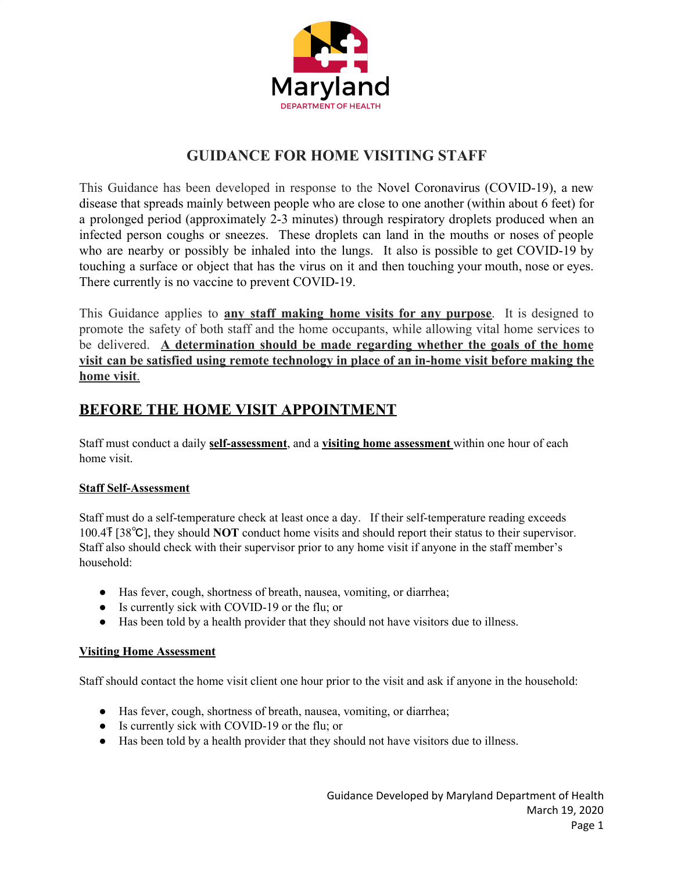

# **GUIDANCE FOR HOME VISITING STAFF**

This Guidance has been developed in response to the Novel Coronavirus (COVID-19), a new disease that spreads mainly between people who are close to one another (within about 6 feet) for a prolonged period (approximately 2-3 minutes) through respiratory droplets produced when an infected person coughs or sneezes. These droplets can land in the mouths or noses of people who are nearby or possibly be inhaled into the lungs. It also is possible to get COVID-19 by touching a surface or object that has the virus on it and then touching your mouth, nose or eyes. There currently is no vaccine to prevent COVID-19.

This Guidance applies to **any staff making home visits for any purpose**. It is designed to promote the safety of both staff and the home occupants, while allowing vital home services to be delivered. **A determination should be made regarding whether the goals of the home visit can be satisfied using remote technology in place of an in-home visit before making the home visit**.

## **BEFORE THE HOME VISIT APPOINTMENT**

Staff must conduct a daily **self-assessment**, and a **visiting home assessment** within one hour of each home visit.

## **Staff Self-Assessment**

Staff must do a self-temperature check at least once a day. If their self-temperature reading exceeds 100.4℉ [38℃], they should **NOT** conduct home visits and should report their status to their supervisor. Staff also should check with their supervisor prior to any home visit if anyone in the staff member's household:

- Has fever, cough, shortness of breath, nausea, vomiting, or diarrhea;
- Is currently sick with COVID-19 or the flu; or
- Has been told by a health provider that they should not have visitors due to illness.

#### **Visiting Home Assessment**

Staff should contact the home visit client one hour prior to the visit and ask if anyone in the household:

- Has fever, cough, shortness of breath, nausea, vomiting, or diarrhea;
- Is currently sick with COVID-19 or the flu; or
- Has been told by a health provider that they should not have visitors due to illness.